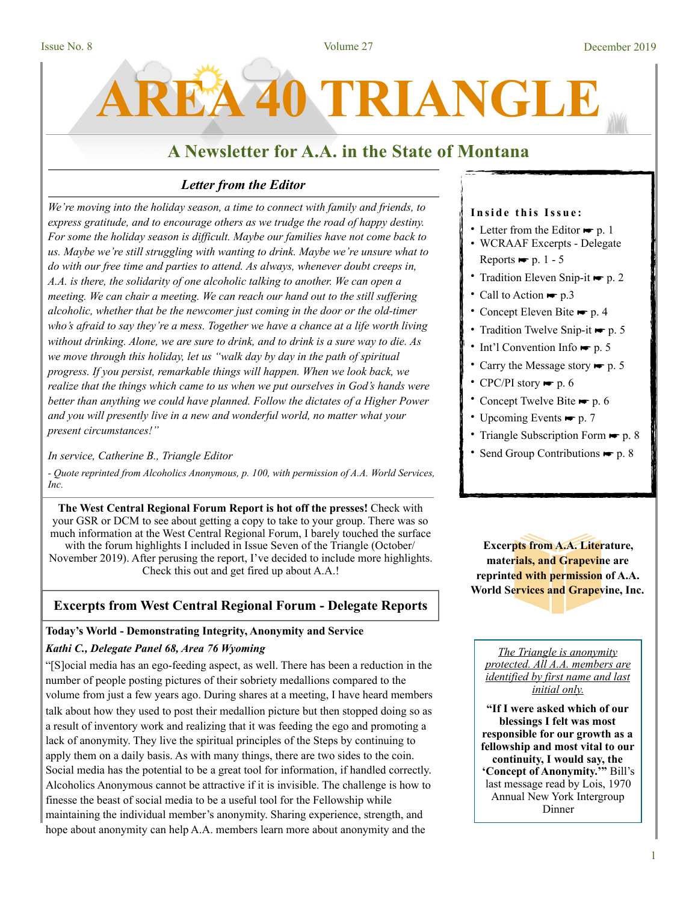

# **A Newsletter for A.A. in the State of Montana**

## *Letter from the Editor*

*We're moving into the holiday season, a time to connect with family and friends, to express gratitude, and to encourage others as we trudge the road of happy destiny. For some the holiday season is difficult. Maybe our families have not come back to us. Maybe we're still struggling with wanting to drink. Maybe we're unsure what to do with our free time and parties to attend. As always, whenever doubt creeps in, A.A. is there, the solidarity of one alcoholic talking to another. We can open a meeting. We can chair a meeting. We can reach our hand out to the still suffering alcoholic, whether that be the newcomer just coming in the door or the old-timer who's afraid to say they're a mess. Together we have a chance at a life worth living without drinking. Alone, we are sure to drink, and to drink is a sure way to die. As we move through this holiday, let us "walk day by day in the path of spiritual progress. If you persist, remarkable things will happen. When we look back, we realize that the things which came to us when we put ourselves in God's hands were better than anything we could have planned. Follow the dictates of a Higher Power and you will presently live in a new and wonderful world, no matter what your present circumstances!"* 

#### *In service, Catherine B., Triangle Editor*

*- Quote reprinted from Alcoholics Anonymous, p. 100, with permission of A.A. World Services, Inc.*

**The West Central Regional Forum Report is hot off the presses!** Check with your GSR or DCM to see about getting a copy to take to your group. There was so much information at the West Central Regional Forum, I barely touched the surface with the forum highlights I included in Issue Seven of the Triangle (October/ November 2019). After perusing the report, I've decided to include more highlights. Check this out and get fired up about A.A.!

## **Excerpts from West Central Regional Forum - Delegate Reports**

#### **Today's World - Demonstrating Integrity, Anonymity and Service**  *Kathi C., Delegate Panel 68, Area 76 Wyoming*

"[S]ocial media has an ego-feeding aspect, as well. There has been a reduction in the number of people posting pictures of their sobriety medallions compared to the volume from just a few years ago. During shares at a meeting, I have heard members talk about how they used to post their medallion picture but then stopped doing so as a result of inventory work and realizing that it was feeding the ego and promoting a lack of anonymity. They live the spiritual principles of the Steps by continuing to apply them on a daily basis. As with many things, there are two sides to the coin. Social media has the potential to be a great tool for information, if handled correctly. Alcoholics Anonymous cannot be attractive if it is invisible. The challenge is how to finesse the beast of social media to be a useful tool for the Fellowship while maintaining the individual member's anonymity. Sharing experience, strength, and hope about anonymity can help A.A. members learn more about anonymity and the

#### **Inside this Issue:**

- Letter from the Editor  $\blacktriangleright$  p. 1
- WCRAAF Excerpts Delegate Reports  $\blacktriangleright$  p. 1 - 5
- Tradition Eleven Snip-it  $\blacktriangleright$  p. 2
- Call to Action ☛ p.3
- Concept Eleven Bite p. 4
- Tradition Twelve Snip-it  $\blacktriangleright p. 5$
- Int'l Convention Info  $\blacktriangleright$  p. 5
- Carry the Message story  $\blacktriangleright$  p. 5
- CPC/PI story ☛ p. 6
- Concept Twelve Bite ☛ p. 6
- Upcoming Events  $\blacktriangleright$  p. 7
- Triangle Subscription Form  $\blacktriangleright p$ . 8
- Send Group Contributions p. 8

**Excerpts from A.A. Literature, materials, and Grapevine are reprinted with permission of A.A. World Services and Grapevine, Inc.**

*The Triangle is anonymity protected. All A.A. members are identified by first name and last initial only.* 

**"If I were asked which of our blessings I felt was most responsible for our growth as a fellowship and most vital to our continuity, I would say, the 'Concept of Anonymity.'"** Bill's last message read by Lois, 1970 Annual New York Intergroup Dinner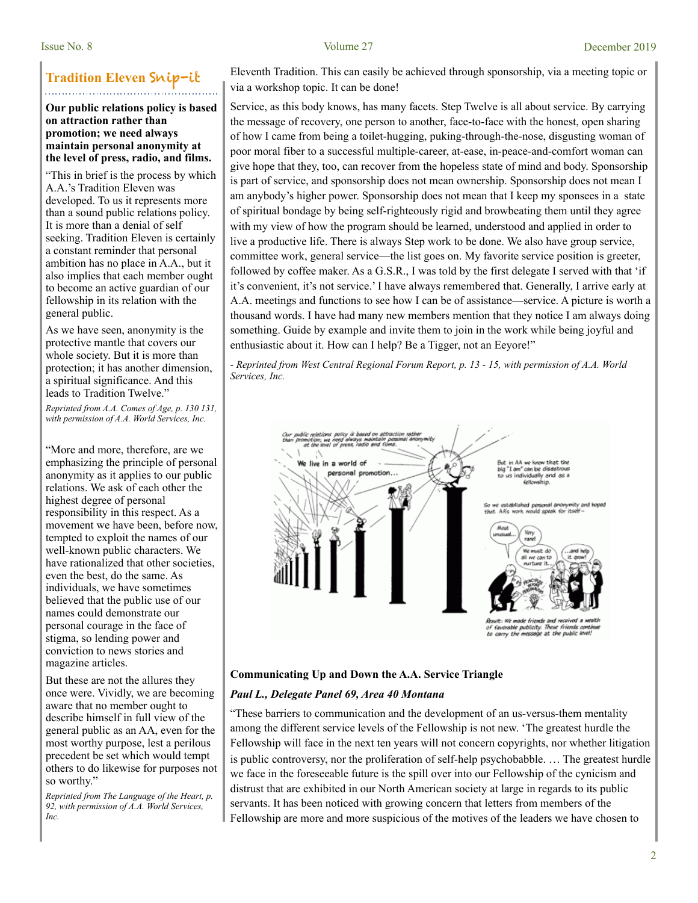#### **Tradition Eleven** Snip-it

#### **Our public relations policy is based on attraction rather than promotion; we need always maintain personal anonymity at the level of press, radio, and films.**

"This in brief is the process by which A.A.'s Tradition Eleven was developed. To us it represents more than a sound public relations policy. It is more than a denial of self seeking. Tradition Eleven is certainly a constant reminder that personal ambition has no place in A.A., but it also implies that each member ought to become an active guardian of our fellowship in its relation with the general public.

As we have seen, anonymity is the protective mantle that covers our whole society. But it is more than protection; it has another dimension, a spiritual significance. And this leads to Tradition Twelve."

*Reprinted from A.A. Comes of Age, p. 130 131, with permission of A.A. World Services, Inc.* 

"More and more, therefore, are we emphasizing the principle of personal anonymity as it applies to our public relations. We ask of each other the highest degree of personal responsibility in this respect. As a movement we have been, before now, tempted to exploit the names of our well-known public characters. We have rationalized that other societies, even the best, do the same. As individuals, we have sometimes believed that the public use of our names could demonstrate our personal courage in the face of stigma, so lending power and conviction to news stories and magazine articles.

But these are not the allures they once were. Vividly, we are becoming aware that no member ought to describe himself in full view of the general public as an AA, even for the most worthy purpose, lest a perilous precedent be set which would tempt others to do likewise for purposes not so worthy."

*Reprinted from The Language of the Heart, p. 92, with permission of A.A. World Services, Inc.*

Eleventh Tradition. This can easily be achieved through sponsorship, via a meeting topic or via a workshop topic. It can be done!

Service, as this body knows, has many facets. Step Twelve is all about service. By carrying the message of recovery, one person to another, face-to-face with the honest, open sharing of how I came from being a toilet-hugging, puking-through-the-nose, disgusting woman of poor moral fiber to a successful multiple-career, at-ease, in-peace-and-comfort woman can give hope that they, too, can recover from the hopeless state of mind and body. Sponsorship is part of service, and sponsorship does not mean ownership. Sponsorship does not mean I am anybody's higher power. Sponsorship does not mean that I keep my sponsees in a state of spiritual bondage by being self-righteously rigid and browbeating them until they agree with my view of how the program should be learned, understood and applied in order to live a productive life. There is always Step work to be done. We also have group service, committee work, general service—the list goes on. My favorite service position is greeter, followed by coffee maker. As a G.S.R., I was told by the first delegate I served with that 'if it's convenient, it's not service.' I have always remembered that. Generally, I arrive early at A.A. meetings and functions to see how I can be of assistance—service. A picture is worth a thousand words. I have had many new members mention that they notice I am always doing something. Guide by example and invite them to join in the work while being joyful and enthusiastic about it. How can I help? Be a Tigger, not an Eeyore!"

*- Reprinted from West Central Regional Forum Report, p. 13 - 15, with permission of A.A. World Services, Inc.*



# **Communicating Up and Down the A.A. Service Triangle**

#### *Paul L., Delegate Panel 69, Area 40 Montana*

"These barriers to communication and the development of an us-versus-them mentality among the different service levels of the Fellowship is not new. 'The greatest hurdle the Fellowship will face in the next ten years will not concern copyrights, nor whether litigation is public controversy, nor the proliferation of self-help psychobabble. … The greatest hurdle we face in the foreseeable future is the spill over into our Fellowship of the cynicism and distrust that are exhibited in our North American society at large in regards to its public servants. It has been noticed with growing concern that letters from members of the Fellowship are more and more suspicious of the motives of the leaders we have chosen to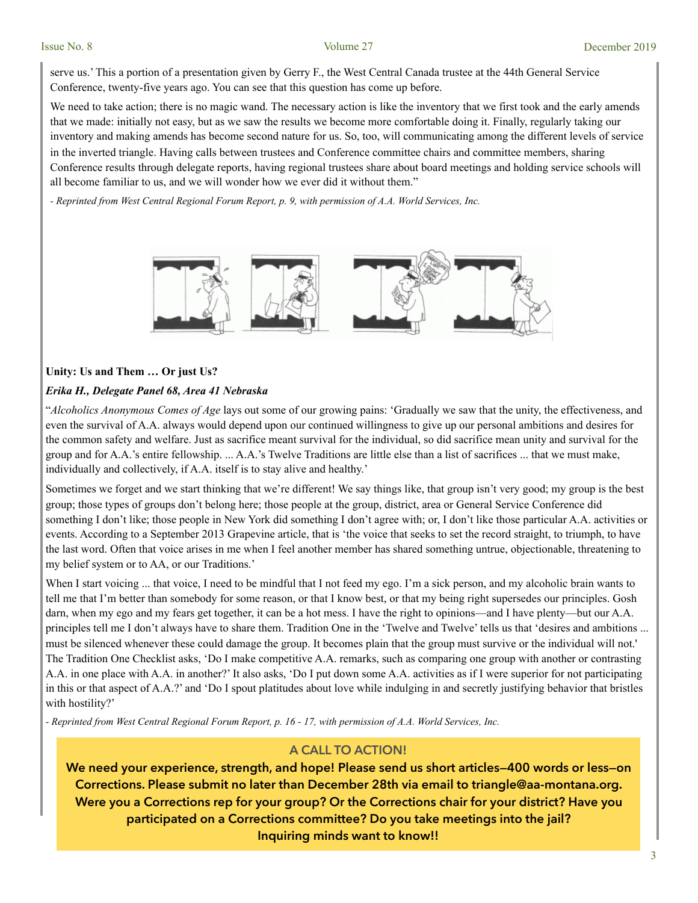serve us.' This a portion of a presentation given by Gerry F., the West Central Canada trustee at the 44th General Service Conference, twenty-five years ago. You can see that this question has come up before.

We need to take action; there is no magic wand. The necessary action is like the inventory that we first took and the early amends that we made: initially not easy, but as we saw the results we become more comfortable doing it. Finally, regularly taking our inventory and making amends has become second nature for us. So, too, will communicating among the different levels of service in the inverted triangle. Having calls between trustees and Conference committee chairs and committee members, sharing Conference results through delegate reports, having regional trustees share about board meetings and holding service schools will all become familiar to us, and we will wonder how we ever did it without them."

*- Reprinted from West Central Regional Forum Report, p. 9, with permission of A.A. World Services, Inc.*



#### **Unity: Us and Them … Or just Us?**

#### *Erika H., Delegate Panel 68, Area 41 Nebraska*

"*Alcoholics Anonymous Comes of Age* lays out some of our growing pains: 'Gradually we saw that the unity, the effectiveness, and even the survival of A.A. always would depend upon our continued willingness to give up our personal ambitions and desires for the common safety and welfare. Just as sacrifice meant survival for the individual, so did sacrifice mean unity and survival for the group and for A.A.'s entire fellowship. ... A.A.'s Twelve Traditions are little else than a list of sacrifices ... that we must make, individually and collectively, if A.A. itself is to stay alive and healthy.'

Sometimes we forget and we start thinking that we're different! We say things like, that group isn't very good; my group is the best group; those types of groups don't belong here; those people at the group, district, area or General Service Conference did something I don't like; those people in New York did something I don't agree with; or, I don't like those particular A.A. activities or events. According to a September 2013 Grapevine article, that is 'the voice that seeks to set the record straight, to triumph, to have the last word. Often that voice arises in me when I feel another member has shared something untrue, objectionable, threatening to my belief system or to AA, or our Traditions.'

When I start voicing ... that voice, I need to be mindful that I not feed my ego. I'm a sick person, and my alcoholic brain wants to tell me that I'm better than somebody for some reason, or that I know best, or that my being right supersedes our principles. Gosh darn, when my ego and my fears get together, it can be a hot mess. I have the right to opinions—and I have plenty—but our A.A. principles tell me I don't always have to share them. Tradition One in the 'Twelve and Twelve' tells us that 'desires and ambitions ... must be silenced whenever these could damage the group. It becomes plain that the group must survive or the individual will not.' The Tradition One Checklist asks, 'Do I make competitive A.A. remarks, such as comparing one group with another or contrasting A.A. in one place with A.A. in another?' It also asks, 'Do I put down some A.A. activities as if I were superior for not participating in this or that aspect of A.A.?' and 'Do I spout platitudes about love while indulging in and secretly justifying behavior that bristles with hostility?'

*- Reprinted from West Central Regional Forum Report, p. 16 - 17, with permission of A.A. World Services, Inc.*

### **A CALL TO ACTION!**

**We need your experience, strength, and hope! Please send us short articles—400 words or less—on Corrections. Please submit no later than December 28th via email to triangle@aa-montana.org. Were you a Corrections rep for your group? Or the Corrections chair for your district? Have you participated on a Corrections committee? Do you take meetings into the jail? Inquiring minds want to know!!**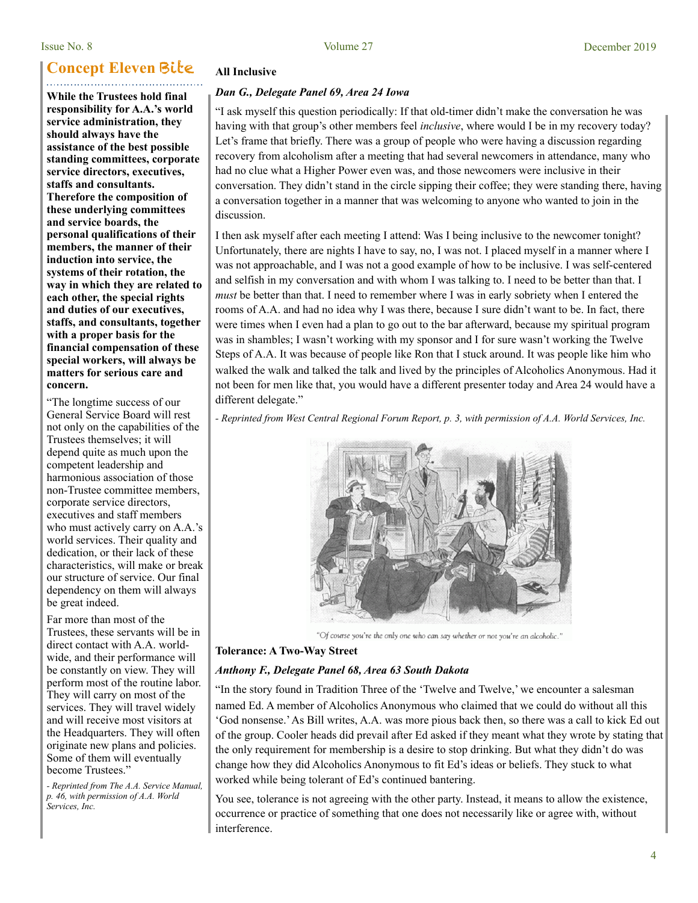## **Concept Eleven** Bite

**While the Trustees hold final responsibility for A.A.'s world service administration, they should always have the assistance of the best possible standing committees, corporate service directors, executives, staffs and consultants. Therefore the composition of these underlying committees and service boards, the personal qualifications of their members, the manner of their induction into service, the systems of their rotation, the way in which they are related to each other, the special rights and duties of our executives, staffs, and consultants, together with a proper basis for the financial compensation of these special workers, will always be matters for serious care and concern.**

"The longtime success of our General Service Board will rest not only on the capabilities of the Trustees themselves; it will depend quite as much upon the competent leadership and harmonious association of those non-Trustee committee members, corporate service directors, executives and staff members who must actively carry on A.A.'s world services. Their quality and dedication, or their lack of these characteristics, will make or break our structure of service. Our final dependency on them will always be great indeed.

Far more than most of the Trustees, these servants will be in direct contact with A.A. worldwide, and their performance will be constantly on view. They will perform most of the routine labor. They will carry on most of the services. They will travel widely and will receive most visitors at the Headquarters. They will often originate new plans and policies. Some of them will eventually become Trustees."

*- Reprinted from The A.A. Service Manual, p. 46, with permission of A.A. World Services, Inc.* 

#### **All Inclusive**

#### *Dan G., Delegate Panel 69, Area 24 Iowa*

"I ask myself this question periodically: If that old-timer didn't make the conversation he was having with that group's other members feel *inclusive*, where would I be in my recovery today? Let's frame that briefly. There was a group of people who were having a discussion regarding recovery from alcoholism after a meeting that had several newcomers in attendance, many who had no clue what a Higher Power even was, and those newcomers were inclusive in their conversation. They didn't stand in the circle sipping their coffee; they were standing there, having a conversation together in a manner that was welcoming to anyone who wanted to join in the discussion.

I then ask myself after each meeting I attend: Was I being inclusive to the newcomer tonight? Unfortunately, there are nights I have to say, no, I was not. I placed myself in a manner where I was not approachable, and I was not a good example of how to be inclusive. I was self-centered and selfish in my conversation and with whom I was talking to. I need to be better than that. I *must* be better than that. I need to remember where I was in early sobriety when I entered the rooms of A.A. and had no idea why I was there, because I sure didn't want to be. In fact, there were times when I even had a plan to go out to the bar afterward, because my spiritual program was in shambles; I wasn't working with my sponsor and I for sure wasn't working the Twelve Steps of A.A. It was because of people like Ron that I stuck around. It was people like him who walked the walk and talked the talk and lived by the principles of Alcoholics Anonymous. Had it not been for men like that, you would have a different presenter today and Area 24 would have a different delegate."

*- Reprinted from West Central Regional Forum Report, p. 3, with permission of A.A. World Services, Inc.*



"Of course you're the only one who can say whether or not you're an alcoholic."

#### **Tolerance: A Two-Way Street**

#### *Anthony F., Delegate Panel 68, Area 63 South Dakota*

"In the story found in Tradition Three of the 'Twelve and Twelve,' we encounter a salesman named Ed. A member of Alcoholics Anonymous who claimed that we could do without all this 'God nonsense.' As Bill writes, A.A. was more pious back then, so there was a call to kick Ed out of the group. Cooler heads did prevail after Ed asked if they meant what they wrote by stating that the only requirement for membership is a desire to stop drinking. But what they didn't do was change how they did Alcoholics Anonymous to fit Ed's ideas or beliefs. They stuck to what worked while being tolerant of Ed's continued bantering.

You see, tolerance is not agreeing with the other party. Instead, it means to allow the existence, occurrence or practice of something that one does not necessarily like or agree with, without interference.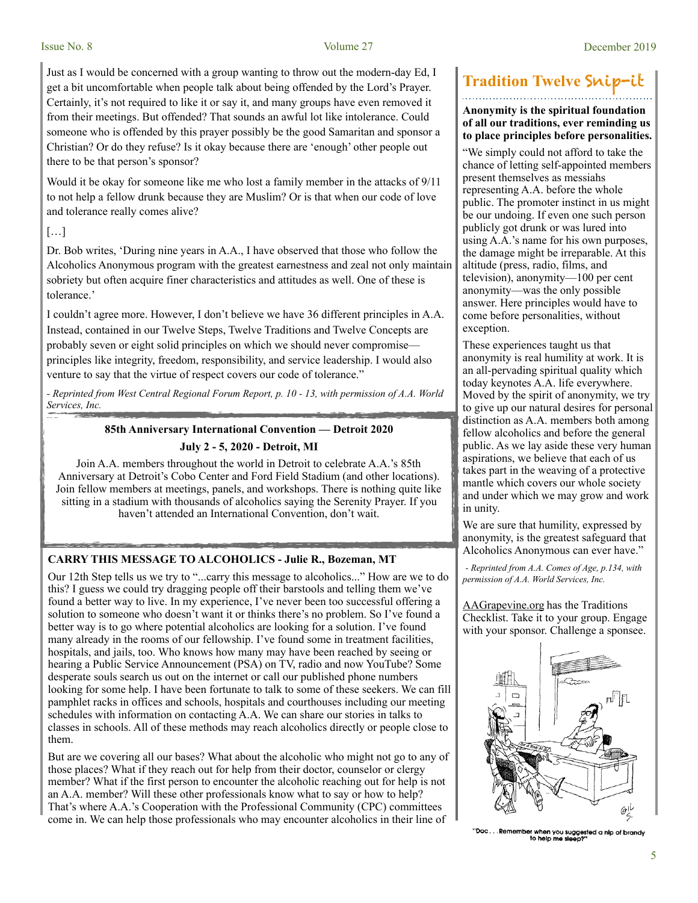Just as I would be concerned with a group wanting to throw out the modern-day Ed, I get a bit uncomfortable when people talk about being offended by the Lord's Prayer. Certainly, it's not required to like it or say it, and many groups have even removed it from their meetings. But offended? That sounds an awful lot like intolerance. Could someone who is offended by this prayer possibly be the good Samaritan and sponsor a Christian? Or do they refuse? Is it okay because there are 'enough' other people out there to be that person's sponsor?

Would it be okay for someone like me who lost a family member in the attacks of 9/11 to not help a fellow drunk because they are Muslim? Or is that when our code of love and tolerance really comes alive?

#### […]

Dr. Bob writes, 'During nine years in A.A., I have observed that those who follow the Alcoholics Anonymous program with the greatest earnestness and zeal not only maintain sobriety but often acquire finer characteristics and attitudes as well. One of these is tolerance.'

I couldn't agree more. However, I don't believe we have 36 different principles in A.A. Instead, contained in our Twelve Steps, Twelve Traditions and Twelve Concepts are probably seven or eight solid principles on which we should never compromise principles like integrity, freedom, responsibility, and service leadership. I would also venture to say that the virtue of respect covers our code of tolerance."

*- Reprinted from West Central Regional Forum Report, p. 10 - 13, with permission of A.A. World Services, Inc.*

### **85th Anniversary International Convention — Detroit 2020 July 2 - 5, 2020 - Detroit, MI**

Join A.A. members throughout the world in Detroit to celebrate A.A.'s 85th Anniversary at Detroit's Cobo Center and Ford Field Stadium (and other locations). Join fellow members at meetings, panels, and workshops. There is nothing quite like sitting in a stadium with thousands of alcoholics saying the Serenity Prayer. If you haven't attended an International Convention, don't wait.

#### **CARRY THIS MESSAGE TO ALCOHOLICS - Julie R., Bozeman, MT**

Our 12th Step tells us we try to "...carry this message to alcoholics..." How are we to do this? I guess we could try dragging people off their barstools and telling them we've found a better way to live. In my experience, I've never been too successful offering a solution to someone who doesn't want it or thinks there's no problem. So I've found a better way is to go where potential alcoholics are looking for a solution. I've found many already in the rooms of our fellowship. I've found some in treatment facilities, hospitals, and jails, too. Who knows how many may have been reached by seeing or hearing a Public Service Announcement (PSA) on TV, radio and now YouTube? Some desperate souls search us out on the internet or call our published phone numbers looking for some help. I have been fortunate to talk to some of these seekers. We can fill pamphlet racks in offices and schools, hospitals and courthouses including our meeting schedules with information on contacting A.A. We can share our stories in talks to classes in schools. All of these methods may reach alcoholics directly or people close to them.

But are we covering all our bases? What about the alcoholic who might not go to any of those places? What if they reach out for help from their doctor, counselor or clergy member? What if the first person to encounter the alcoholic reaching out for help is not an A.A. member? Will these other professionals know what to say or how to help? That's where A.A.'s Cooperation with the Professional Community (CPC) committees come in. We can help those professionals who may encounter alcoholics in their line of

# **Tradition Twelve** Snip-it

#### **Anonymity is the spiritual foundation of all our traditions, ever reminding us to place principles before personalities.**

"We simply could not afford to take the chance of letting self-appointed members present themselves as messiahs representing A.A. before the whole public. The promoter instinct in us might be our undoing. If even one such person publicly got drunk or was lured into using A.A.'s name for his own purposes, the damage might be irreparable. At this altitude (press, radio, films, and television), anonymity—100 per cent anonymity—was the only possible answer. Here principles would have to come before personalities, without exception.

These experiences taught us that anonymity is real humility at work. It is an all-pervading spiritual quality which today keynotes A.A. life everywhere. Moved by the spirit of anonymity, we try to give up our natural desires for personal distinction as A.A. members both among fellow alcoholics and before the general public. As we lay aside these very human aspirations, we believe that each of us takes part in the weaving of a protective mantle which covers our whole society and under which we may grow and work in unity.

We are sure that humility, expressed by anonymity, is the greatest safeguard that Alcoholics Anonymous can ever have."

*- Reprinted from A.A. Comes of Age, p.134, with permission of A.A. World Services, Inc.* 

[AAGrapevine.org](http://AAGrapevine.org) has the Traditions Checklist. Take it to your group. Engage with your sponsor. Challenge a sponsee.



''Doc...Remember when you suggested a nip of brandy''<br>"to help me sleep?''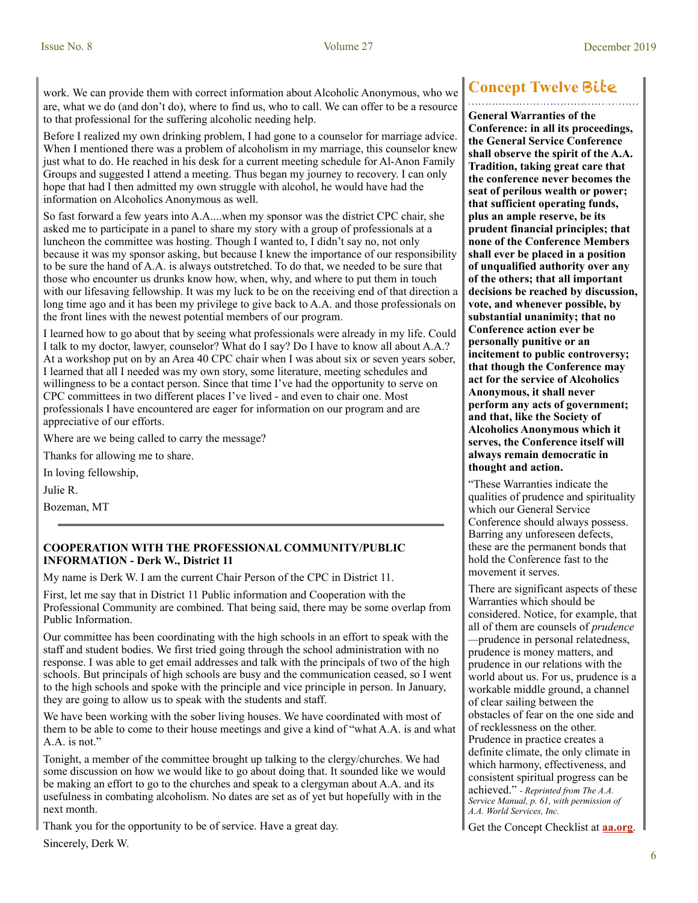work. We can provide them with correct information about Alcoholic Anonymous, who we are, what we do (and don't do), where to find us, who to call. We can offer to be a resource to that professional for the suffering alcoholic needing help.

Before I realized my own drinking problem, I had gone to a counselor for marriage advice. When I mentioned there was a problem of alcoholism in my marriage, this counselor knew just what to do. He reached in his desk for a current meeting schedule for Al-Anon Family Groups and suggested I attend a meeting. Thus began my journey to recovery. I can only hope that had I then admitted my own struggle with alcohol, he would have had the information on Alcoholics Anonymous as well.

So fast forward a few years into A.A....when my sponsor was the district CPC chair, she asked me to participate in a panel to share my story with a group of professionals at a luncheon the committee was hosting. Though I wanted to, I didn't say no, not only because it was my sponsor asking, but because I knew the importance of our responsibility to be sure the hand of A.A. is always outstretched. To do that, we needed to be sure that those who encounter us drunks know how, when, why, and where to put them in touch with our lifesaving fellowship. It was my luck to be on the receiving end of that direction a long time ago and it has been my privilege to give back to A.A. and those professionals on the front lines with the newest potential members of our program.

I learned how to go about that by seeing what professionals were already in my life. Could I talk to my doctor, lawyer, counselor? What do I say? Do I have to know all about A.A.? At a workshop put on by an Area 40 CPC chair when I was about six or seven years sober, I learned that all I needed was my own story, some literature, meeting schedules and willingness to be a contact person. Since that time I've had the opportunity to serve on CPC committees in two different places I've lived - and even to chair one. Most professionals I have encountered are eager for information on our program and are appreciative of our efforts.

Where are we being called to carry the message?

Thanks for allowing me to share.

In loving fellowship,

Julie R.

Bozeman, MT

#### **COOPERATION WITH THE PROFESSIONAL COMMUNITY/PUBLIC INFORMATION - Derk W., District 11**

My name is Derk W. I am the current Chair Person of the CPC in District 11.

First, let me say that in District 11 Public information and Cooperation with the Professional Community are combined. That being said, there may be some overlap from Public Information.

Our committee has been coordinating with the high schools in an effort to speak with the staff and student bodies. We first tried going through the school administration with no response. I was able to get email addresses and talk with the principals of two of the high schools. But principals of high schools are busy and the communication ceased, so I went to the high schools and spoke with the principle and vice principle in person. In January, they are going to allow us to speak with the students and staff.

We have been working with the sober living houses. We have coordinated with most of them to be able to come to their house meetings and give a kind of "what A.A. is and what A.A. is not."

Tonight, a member of the committee brought up talking to the clergy/churches. We had some discussion on how we would like to go about doing that. It sounded like we would be making an effort to go to the churches and speak to a clergyman about A.A. and its usefulness in combating alcoholism. No dates are set as of yet but hopefully with in the next month.

Thank you for the opportunity to be of service. Have a great day.

Sincerely, Derk W.

## **Concept Twelve** Bite

**General Warranties of the Conference: in all its proceedings, the General Service Conference shall observe the spirit of the A.A. Tradition, taking great care that the conference never becomes the seat of perilous wealth or power; that sufficient operating funds, plus an ample reserve, be its prudent financial principles; that none of the Conference Members shall ever be placed in a position of unqualified authority over any of the others; that all important decisions be reached by discussion, vote, and whenever possible, by substantial unanimity; that no Conference action ever be personally punitive or an incitement to public controversy; that though the Conference may act for the service of Alcoholics Anonymous, it shall never perform any acts of government; and that, like the Society of Alcoholics Anonymous which it serves, the Conference itself will always remain democratic in thought and action.**

"These Warranties indicate the qualities of prudence and spirituality which our General Service Conference should always possess. Barring any unforeseen defects, these are the permanent bonds that hold the Conference fast to the movement it serves.

There are significant aspects of these Warranties which should be considered. Notice, for example, that all of them are counsels of *prudence —*prudence in personal relatedness, prudence is money matters, and prudence in our relations with the world about us. For us, prudence is a workable middle ground, a channel of clear sailing between the obstacles of fear on the one side and of recklessness on the other. Prudence in practice creates a definite climate, the only climate in which harmony, effectiveness, and consistent spiritual progress can be achieved." *- Reprinted from The A.A. Service Manual, p. 61, with permission of A.A. World Services, Inc.* 

Get the Concept Checklist at **[aa.org](http://aa.org)**.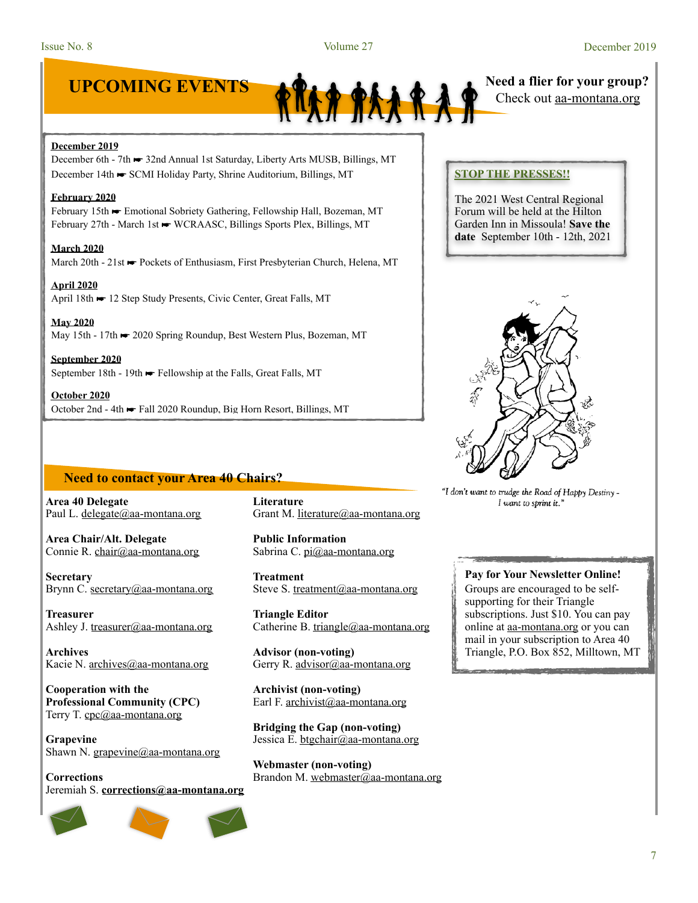![](_page_6_Picture_3.jpeg)

Check out aa-montana.org

#### **December 2019**

December 6th - 7th → 32nd Annual 1st Saturday, Liberty Arts MUSB, Billings, MT December 14th ► SCMI Holiday Party, Shrine Auditorium, Billings, MT

#### **February 2020**

February 15th <del>►</del> Emotional Sobriety Gathering, Fellowship Hall, Bozeman, MT February 27th - March 1st ► WCRAASC, Billings Sports Plex, Billings, MT

**March 2020** March 20th - 21st ► Pockets of Enthusiasm, First Presbyterian Church, Helena, MT

**April 2020** April 18th ► 12 Step Study Presents, Civic Center, Great Falls, MT

**May 2020** May 15th - 17th <del>►</del> 2020 Spring Roundup, Best Western Plus, Bozeman, MT

**September 2020**  September 18th - 19th ► Fellowship at the Falls, Great Falls, MT

**October 2020**  October 2nd - 4th ☛ Fall 2020 Roundup, Big Horn Resort, Billings, MT

### **Need to contact your Area 40 Chairs?**

**Area 40 Delegate**  Paul L. [delegate@aa-montana.org](mailto:delegate@aa-montana.org)

**Area Chair/Alt. Delegate**  Connie R. [chair@aa-montana.org](mailto:chair@aa-montana.org)

**Secretary**  Brynn C. [secretary@aa-montana.org](mailto:secretary@aa-montana.org)

**Treasurer**  Ashley J. [treasurer@aa-montana.org](mailto:treasurer@aa-montana.org)

**Archives**  Kacie N. [archives@aa-montana.org](mailto:archives@aa-montana.org)

**Cooperation with the Professional Community (CPC)**  Terry T. [cpc@aa-montana.org](mailto:cpc@aa-montana.org)

**Grapevine**  Shawn N. [grapevine@aa-montana.org](mailto:grapevine@aa-montana.org)

**Corrections** Jeremiah S. **[corrections@aa-montana.org](mailto:corrections@aa-montana.org)**

![](_page_6_Picture_23.jpeg)

**Literature**  Grant M. [literature@aa-montana.org](mailto:literature@aa-montana.org)

**Public Information**  Sabrina C. [pi@aa-montana.org](mailto:pi@aa-montana.org)

**Treatment**  Steve S. [treatment@aa-montana.org](mailto:treatment@aa-montana.org)

**Triangle Editor**  Catherine B. [triangle@aa-montana.org](mailto:triangle@aa-montana.org)

**Advisor (non-voting)**  Gerry R. [advisor@aa-montana.org](mailto:advisor@aa-montana.org)

**Archivist (non-voting)**  Earl F. [archivist@aa-montana.org](mailto:archivist@aa-montana.org)

**Bridging the Gap (non-voting)**  Jessica E. [btgchair@aa-montana.org](mailto:btgchair@aa-montana.org)

**Webmaster (non-voting)**  Brandon M. [webmaster@aa-montana.org](mailto:webmaster@aa-montana.org)

#### **STOP THE PRESSES!!**

The 2021 West Central Regional Forum will be held at the Hilton Garden Inn in Missoula! **Save the date** September 10th - 12th, 2021

![](_page_6_Picture_34.jpeg)

"I don't want to trudge the Road of Happy Destiny -I want to sprint it."

#### **Pay for Your Newsletter Online!**

Groups are encouraged to be selfsupporting for their Triangle subscriptions. Just \$10. You can pay online at [aa-montana.org](http://aa-montana.org) or you can mail in your subscription to Area 40 Triangle, P.O. Box 852, Milltown, MT